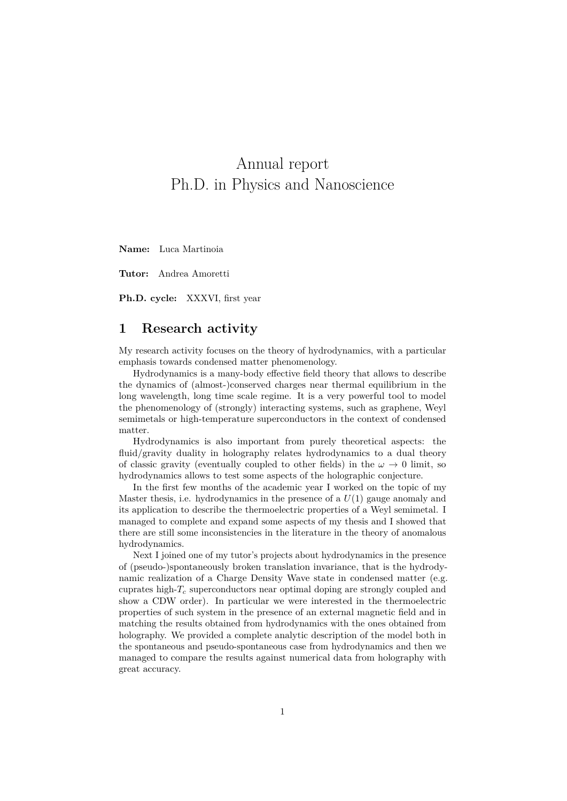# Annual report Ph.D. in Physics and Nanoscience

**Name:** Luca Martinoia

**Tutor:** Andrea Amoretti

**Ph.D. cycle:** XXXVI, first year

#### **1 Research activity**

My research activity focuses on the theory of hydrodynamics, with a particular emphasis towards condensed matter phenomenology.

Hydrodynamics is a many-body effective field theory that allows to describe the dynamics of (almost-)conserved charges near thermal equilibrium in the long wavelength, long time scale regime. It is a very powerful tool to model the phenomenology of (strongly) interacting systems, such as graphene, Weyl semimetals or high-temperature superconductors in the context of condensed matter.

Hydrodynamics is also important from purely theoretical aspects: the fluid/gravity duality in holography relates hydrodynamics to a dual theory of classic gravity (eventually coupled to other fields) in the  $\omega \to 0$  limit, so hydrodynamics allows to test some aspects of the holographic conjecture.

In the first few months of the academic year I worked on the topic of my Master thesis, i.e. hydrodynamics in the presence of a *U*(1) gauge anomaly and its application to describe the thermoelectric properties of a Weyl semimetal. I managed to complete and expand some aspects of my thesis and I showed that there are still some inconsistencies in the literature in the theory of anomalous hydrodynamics.

Next I joined one of my tutor's projects about hydrodynamics in the presence of (pseudo-)spontaneously broken translation invariance, that is the hydrodynamic realization of a Charge Density Wave state in condensed matter (e.g. cuprates high-*T<sup>c</sup>* superconductors near optimal doping are strongly coupled and show a CDW order). In particular we were interested in the thermoelectric properties of such system in the presence of an external magnetic field and in matching the results obtained from hydrodynamics with the ones obtained from holography. We provided a complete analytic description of the model both in the spontaneous and pseudo-spontaneous case from hydrodynamics and then we managed to compare the results against numerical data from holography with great accuracy.